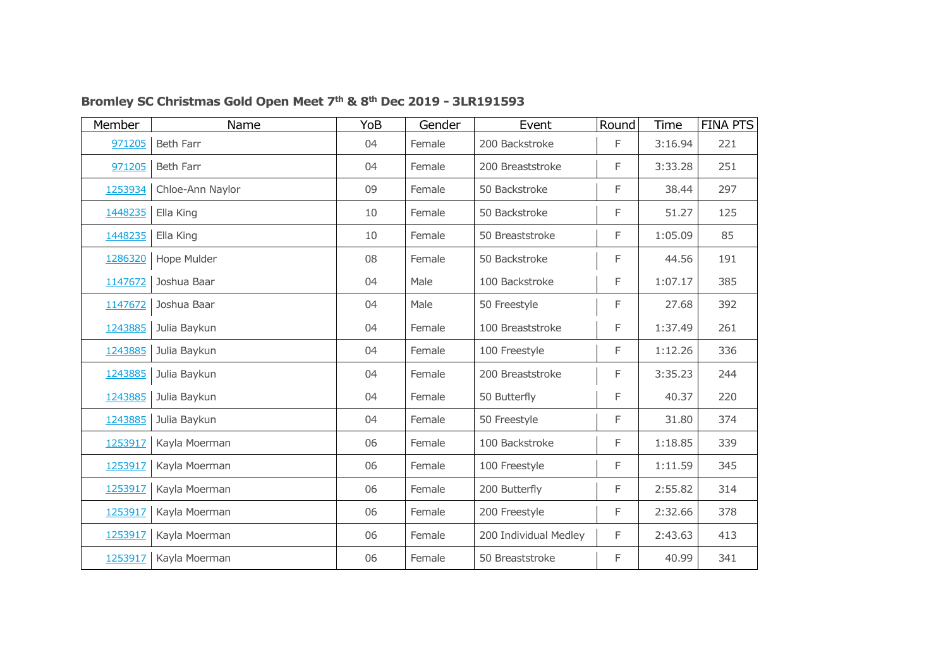| Member  | Name             | YoB | Gender | Event                 | Round | Time    | <b>FINA PTS</b> |
|---------|------------------|-----|--------|-----------------------|-------|---------|-----------------|
| 971205  | <b>Beth Farr</b> | 04  | Female | 200 Backstroke        | F     | 3:16.94 | 221             |
| 971205  | <b>Beth Farr</b> | 04  | Female | 200 Breaststroke      | F     | 3:33.28 | 251             |
| 1253934 | Chloe-Ann Naylor | 09  | Female | 50 Backstroke         | F     | 38.44   | 297             |
| 1448235 | Ella King        | 10  | Female | 50 Backstroke         | F     | 51.27   | 125             |
| 1448235 | Ella King        | 10  | Female | 50 Breaststroke       | F     | 1:05.09 | 85              |
| 1286320 | Hope Mulder      | 08  | Female | 50 Backstroke         | F     | 44.56   | 191             |
| 1147672 | Joshua Baar      | 04  | Male   | 100 Backstroke        | F     | 1:07.17 | 385             |
| 1147672 | Joshua Baar      | 04  | Male   | 50 Freestyle          | F     | 27.68   | 392             |
| 1243885 | Julia Baykun     | 04  | Female | 100 Breaststroke      | F     | 1:37.49 | 261             |
| 1243885 | Julia Baykun     | 04  | Female | 100 Freestyle         | F     | 1:12.26 | 336             |
| 1243885 | Julia Baykun     | 04  | Female | 200 Breaststroke      | F     | 3:35.23 | 244             |
| 1243885 | Julia Baykun     | 04  | Female | 50 Butterfly          | F     | 40.37   | 220             |
| 1243885 | Julia Baykun     | 04  | Female | 50 Freestyle          | F     | 31.80   | 374             |
| 1253917 | Kayla Moerman    | 06  | Female | 100 Backstroke        | F     | 1:18.85 | 339             |
| 1253917 | Kayla Moerman    | 06  | Female | 100 Freestyle         | F     | 1:11.59 | 345             |
| 1253917 | Kayla Moerman    | 06  | Female | 200 Butterfly         | F     | 2:55.82 | 314             |
| 1253917 | Kayla Moerman    | 06  | Female | 200 Freestyle         | F     | 2:32.66 | 378             |
| 1253917 | Kayla Moerman    | 06  | Female | 200 Individual Medley | F     | 2:43.63 | 413             |
| 1253917 | Kayla Moerman    | 06  | Female | 50 Breaststroke       | F     | 40.99   | 341             |

## **Bromley SC Christmas Gold Open Meet 7th & 8th Dec 2019 - 3LR191593**